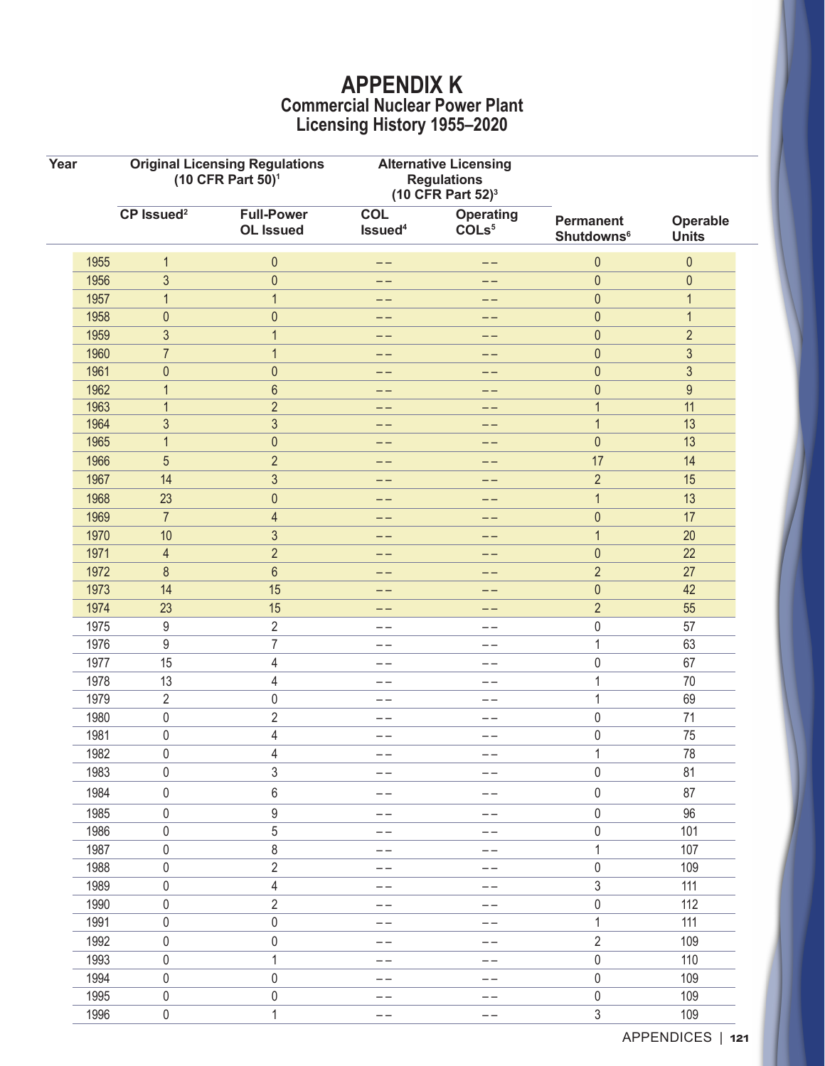## **APPENDIX K Commercial Nuclear Power Plant Licensing History 1955–2020**

| Year |      | <b>Original Licensing Regulations</b><br>(10 CFR Part 50) <sup>1</sup> |                                       | <b>Alternative Licensing</b><br><b>Regulations</b><br>(10 CFR Part $52$ ) <sup>3</sup> |                                       |                                                  |                          |
|------|------|------------------------------------------------------------------------|---------------------------------------|----------------------------------------------------------------------------------------|---------------------------------------|--------------------------------------------------|--------------------------|
|      |      | CP Issued <sup>2</sup>                                                 | <b>Full-Power</b><br><b>OL Issued</b> | <b>COL</b><br>Issued <sup>4</sup>                                                      | <b>Operating</b><br>COLs <sup>5</sup> | <b>Permanent</b><br><b>Shutdowns<sup>6</sup></b> | Operable<br><b>Units</b> |
|      | 1955 | 1                                                                      | $\pmb{0}$                             | --                                                                                     | --                                    | $\pmb{0}$                                        | $\pmb{0}$                |
|      | 1956 | $\mathfrak{Z}$                                                         | $\pmb{0}$                             | --                                                                                     | --                                    | $\bf 0$                                          | $\pmb{0}$                |
|      | 1957 | 1                                                                      | $\mathbf{1}$                          | --                                                                                     | --                                    | $\theta$                                         | $\mathbf{1}$             |
|      | 1958 | $\pmb{0}$                                                              | $\pmb{0}$                             | --                                                                                     | --                                    | $\pmb{0}$                                        | $\mathbf{1}$             |
|      | 1959 | 3                                                                      | $\mathbf{1}$                          | --                                                                                     | $- -$                                 | $\theta$                                         | $\sqrt{2}$               |
|      | 1960 | $\overline{7}$                                                         | $\mathbf{1}$                          | --                                                                                     | --                                    | $\bf 0$                                          | $\mathfrak{S}$           |
|      | 1961 | $\pmb{0}$                                                              | $\pmb{0}$                             | --                                                                                     | --                                    | $\theta$                                         | $\mathfrak{S}$           |
|      | 1962 | 1                                                                      | $6\phantom{a}$                        |                                                                                        |                                       | $\pmb{0}$                                        | $9\,$                    |
|      | 1963 | 1                                                                      | $\overline{2}$                        | --                                                                                     | --                                    | 1                                                | 11                       |
|      | 1964 | 3                                                                      | $\mathfrak{S}$                        | --                                                                                     | $- -$                                 | 1                                                | 13                       |
|      | 1965 | 1                                                                      | $\pmb{0}$                             | --                                                                                     | --                                    | $\bf 0$                                          | 13                       |
|      | 1966 | 5                                                                      | $\overline{2}$                        | --                                                                                     | --                                    | 17                                               | 14                       |
|      | 1967 | 14                                                                     | $\mathfrak{S}$                        | --                                                                                     | $- -$                                 | $\overline{2}$                                   | 15                       |
|      | 1968 | 23                                                                     | $\pmb{0}$                             | --                                                                                     | --                                    | 1                                                | 13                       |
|      | 1969 | $\overline{7}$                                                         | $\overline{4}$                        |                                                                                        |                                       | $\theta$                                         | 17                       |
|      | 1970 | 10                                                                     | $\mathfrak{S}$                        |                                                                                        | --                                    | $\mathbf{1}$                                     | 20                       |
|      | 1971 | 4                                                                      | $\overline{2}$                        | --                                                                                     | --                                    | $\bf 0$                                          | 22                       |
|      | 1972 | 8                                                                      | $6\phantom{a}$                        |                                                                                        | --                                    | $\overline{2}$                                   | 27                       |
|      | 1973 | 14                                                                     | 15                                    | --                                                                                     | --                                    | $\pmb{0}$                                        | 42                       |
|      | 1974 | 23                                                                     | 15                                    | --                                                                                     | --                                    | $\overline{2}$                                   | 55                       |
|      | 1975 | 9                                                                      | 2                                     | $- -$                                                                                  | $ -$                                  | $\pmb{0}$                                        | 57                       |
|      | 1976 | 9                                                                      | $\overline{7}$                        | --                                                                                     | --                                    | 1                                                | 63                       |
|      | 1977 | 15                                                                     | $\overline{4}$                        | --                                                                                     | --                                    | $\pmb{0}$                                        | 67                       |
|      | 1978 | 13                                                                     | 4                                     | --                                                                                     | --                                    | $\mathbf 1$                                      | 70                       |
|      | 1979 | $\overline{2}$                                                         | 0                                     | --                                                                                     | $- -$                                 | 1                                                | 69                       |
|      | 1980 | 0                                                                      | $\overline{2}$                        | --                                                                                     | --                                    | $\pmb{0}$                                        | 71                       |
|      | 1981 | 0                                                                      | 4                                     | --                                                                                     | --                                    | $\mathbf 0$                                      | 75                       |
|      | 1982 | 0                                                                      | 4                                     | --                                                                                     | --                                    | 1                                                | 78                       |
|      | 1983 | 0                                                                      | 3                                     | $- -$                                                                                  | $- -$                                 | $\pmb{0}$                                        | 81                       |
|      | 1984 | 0                                                                      | 6                                     | --                                                                                     | $ -$                                  | $\pmb{0}$                                        | 87                       |
|      | 1985 | $\boldsymbol{0}$                                                       | $\boldsymbol{9}$                      | --                                                                                     | $- -$                                 | $\pmb{0}$                                        | 96                       |
|      | 1986 | 0                                                                      | 5                                     | $- -$                                                                                  | $- -$                                 | $\mathbf 0$                                      | 101                      |
|      | 1987 | $\pmb{0}$                                                              | 8                                     | --                                                                                     | --                                    | $\mathbf 1$                                      | 107                      |
|      | 1988 | 0                                                                      | $\overline{c}$                        | --                                                                                     | $- -$                                 | $\pmb{0}$                                        | 109                      |
|      | 1989 | $\pmb{0}$                                                              | $\overline{4}$                        | --                                                                                     | $- -$                                 | $\sqrt{3}$                                       | 111                      |
|      | 1990 | 0                                                                      | $\overline{2}$                        | --                                                                                     | $- -$                                 | $\pmb{0}$                                        | 112                      |
|      | 1991 | 0                                                                      | $\pmb{0}$                             | $- -$                                                                                  | $\qquad \qquad -$                     | $\mathbf 1$                                      | 111                      |
|      | 1992 | $\boldsymbol{0}$                                                       | $\pmb{0}$                             | --                                                                                     | $\qquad \qquad -$                     | $\sqrt{2}$                                       | 109                      |
|      | 1993 | $\boldsymbol{0}$                                                       | $\mathbf 1$                           | --                                                                                     | $- -$                                 | $\pmb{0}$                                        | 110                      |
|      | 1994 | $\pmb{0}$                                                              | $\pmb{0}$                             | --                                                                                     | $- -$                                 | $\pmb{0}$                                        | 109                      |
|      | 1995 | 0                                                                      | 0                                     |                                                                                        |                                       | $\pmb{0}$                                        | 109                      |
|      | 1996 | $\boldsymbol{0}$                                                       | $\mathbf{1}$                          | $- -$                                                                                  | $- -$                                 | $\sqrt{3}$                                       | 109                      |
|      |      |                                                                        |                                       |                                                                                        |                                       |                                                  |                          |